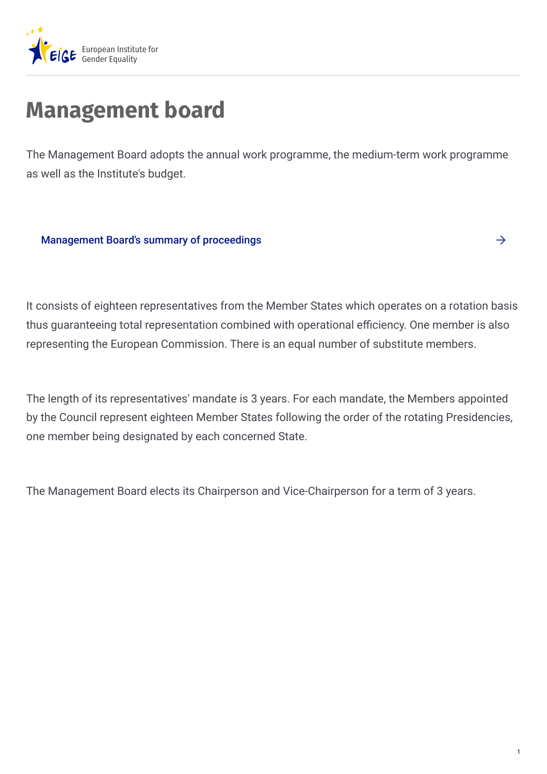

# **Management board**

The Management Board adopts the annual work programme, the medium-term work programme as well as the Institute's budget.

[Management](https://eige.europa.eu/about-eige/documents-registry?ct1[]=633) Board's summary of proceedings

It consists of eighteen representatives from the Member States which operates on a rotation basis thus guaranteeing total representation combined with operational efficiency. One member is also representing the European Commission. There is an equal number of substitute members.

The length of its representatives' mandate is 3 years. For each mandate, the Members appointed by the Council represent eighteen Member States following the order of the rotating Presidencies, one member being designated by each concerned State.

The Management Board elects its Chairperson and Vice-Chairperson for a term of 3 years.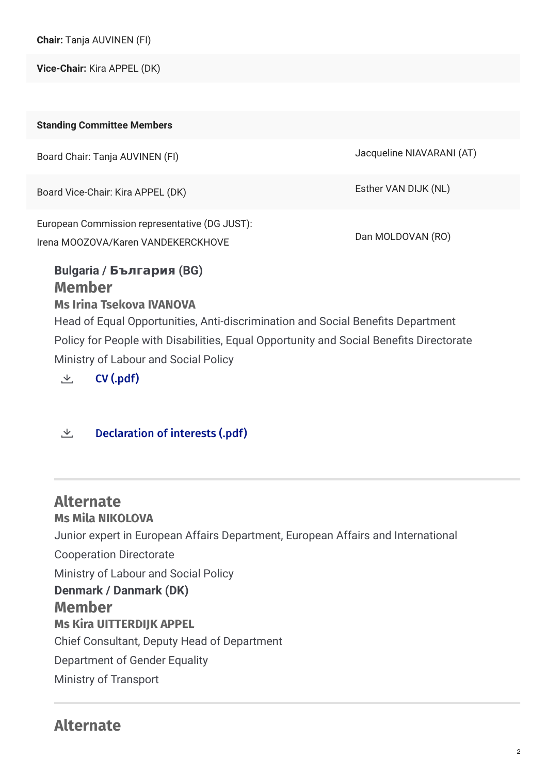**Chair:** Tanja AUVINEN (FI)

**Vice-Chair:** Kira APPEL (DK)

| <b>Standing Committee Members</b>                                                                                                                                                                                                                                                                        |                           |
|----------------------------------------------------------------------------------------------------------------------------------------------------------------------------------------------------------------------------------------------------------------------------------------------------------|---------------------------|
| Board Chair: Tanja AUVINEN (FI)                                                                                                                                                                                                                                                                          | Jacqueline NIAVARANI (AT) |
| Board Vice-Chair: Kira APPEL (DK)                                                                                                                                                                                                                                                                        | Esther VAN DIJK (NL)      |
| European Commission representative (DG JUST):<br>Irena MOOZOVA/Karen VANDEKERCKHOVE                                                                                                                                                                                                                      | Dan MOLDOVAN (RO)         |
| <b>Bulgaria / България (BG)</b><br><b>Member</b><br><b>Ms Irina Tsekova IVANOVA</b><br>Head of Equal Opportunities, Anti-discrimination and Social Benefits Department<br>Policy for People with Disabilities, Equal Opportunity and Social Benefits Directorate<br>Ministry of Labour and Social Policy |                           |

 $\vee$  CV [\(.pdf\)](https://eige.europa.eu/sites/default/files/documents/coi.cv_mb_bg_irina_ivanova_2019.pdf)

#### $\perp$  [Declaration](https://eige.europa.eu/sites/default/files/documents/doi_mb_bg_irina_ivanova_2021.pdf) of interests (.pdf)

**Alternate Ms Mila NIKOLOVA** Junior expert in European Affairs Department, European Affairs and International Cooperation Directorate Ministry of Labour and Social Policy **Member Ms Kira UITTERDIJK APPEL** Chief Consultant, Deputy Head of Department Department of Gender Equality Ministry of Transport **Denmark / Danmark (DK)**

# **Alternate**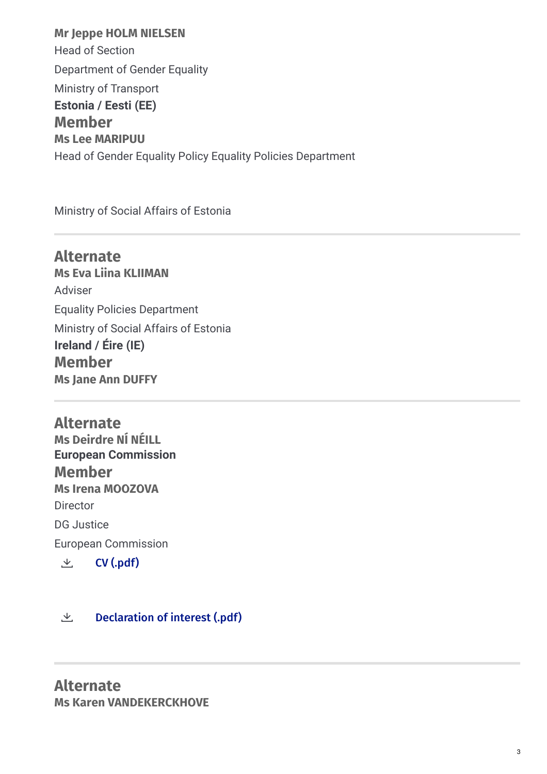**Mr Jeppe HOLM NIELSEN** Head of Section Department of Gender Equality Ministry of Transport **Member Ms Lee MARIPUU** Head of Gender Equality Policy Equality Policies Department **Estonia / Eesti (EE)**

Ministry of Social Affairs of Estonia

**Alternate Ms Eva Liina KLIIMAN** Adviser Equality Policies Department Ministry of Social Affairs of Estonia **Member Ms Jane Ann DUFFY Ireland / Éire (IE)**

**Alternate Ms Deirdre NÍ NÉILL Member Ms Irena MOOZOVA Director** DG Justice European Commission **European Commission**  $\vee$  CV [\(.pdf\)](https://eige.europa.eu/sites/default/files/documents/coi.cv_mb_com_irena.moozova_2020.pdf)

#### $\perp$  [Declaration](https://eige.europa.eu/sites/default/files/documents/doi_mb_com_irena.moozova_2021.pdf) of interest (.pdf)

**Alternate Ms Karen VANDEKERCKHOVE**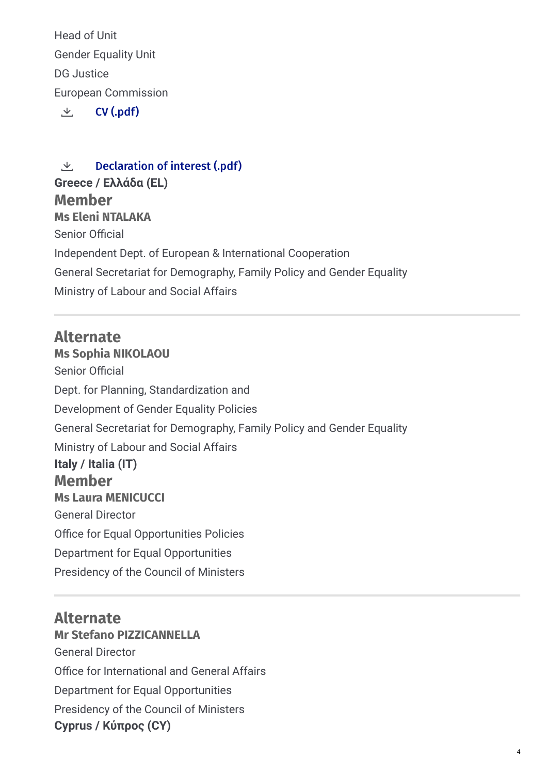Head of Unit Gender Equality Unit DG Justice European Commission

 $\perp$  CV [\(.pdf\)](https://eige.europa.eu/sites/default/files/documents/doi.cv_mb_com_karen.vandekerckhove_2021.pdf)

**Member Ms Eleni NTALAKA** Senior Official Independent Dept. of European & International Cooperation General Secretariat for Demography, Family Policy and Gender Equality Ministry of Labour and Social Affairs  $\perp$  [Declaration](https://eige.europa.eu/sites/default/files/documents/doi_mb_com_karen.vandekerckhove_2021.pdf) of interest (.pdf) **Greece / Eλλάδα (EL)**

# **Alternate**

**Ms Sophia NIKOLAOU** Senior Official Dept. for Planning, Standardization and Development of Gender Equality Policies General Secretariat for Demography, Family Policy and Gender Equality Ministry of Labour and Social Affairs **Member Ms Laura MENICUCCI** General Director Office for Equal Opportunities Policies Department for Equal Opportunities Presidency of the Council of Ministers **Italy / Italia (IT)**

### **Alternate**

**Mr Stefano PIZZICANNELLA** General Director Office for International and General Affairs Department for Equal Opportunities Presidency of the Council of Ministers **Cyprus / Kύπρος (CY)**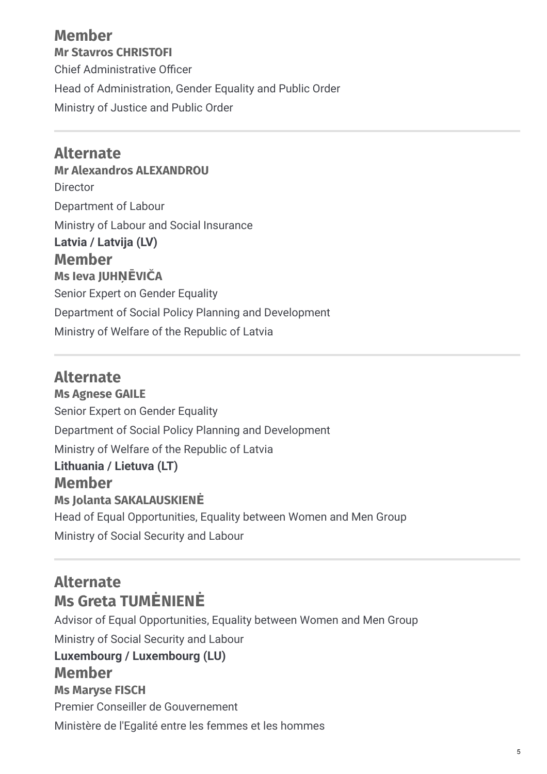### **Member Mr Stavros CHRISTOFI** Chief Administrative Officer Head of Administration, Gender Equality and Public Order Ministry of Justice and Public Order

**Alternate Mr Alexandros ALEXANDROU** Director Department of Labour Ministry of Labour and Social Insurance **Member Ms Ieva JUHŅĒVIČA** Senior Expert on Gender Equality Department of Social Policy Planning and Development Ministry of Welfare of the Republic of Latvia **Latvia / Latvija (LV)**

### **Alternate**

**Ms Agnese GAILE** Senior Expert on Gender Equality Department of Social Policy Planning and Development Ministry of Welfare of the Republic of Latvia **Member Ms Jolanta SAKALAUSKIENĖ** Head of Equal Opportunities, Equality between Women and Men Group Ministry of Social Security and Labour **Lithuania / Lietuva (LT)**

# **Alternate Ms Greta TUMĖNIENĖ**

Advisor of Equal Opportunities, Equality between Women and Men Group Ministry of Social Security and Labour **Member Ms Maryse FISCH** Premier Conseiller de Gouvernement Ministère de l'Egalité entre les femmes et les hommes **Luxembourg / Luxembourg (LU)**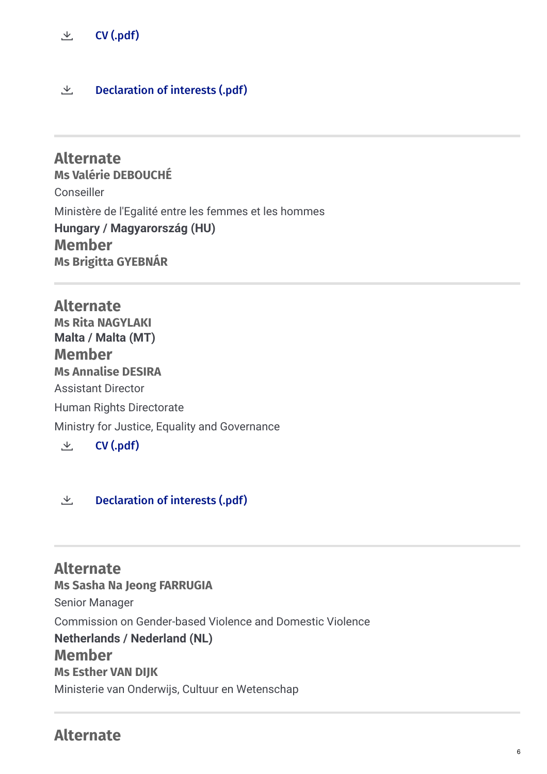#### $\vee$  CV [\(.pdf\)](https://eige.europa.eu/sites/default/files/documents/doi.cv_mb_lu_maryse.fisch_2021.pdf)

#### $\perp$  [Declaration](https://eige.europa.eu/sites/default/files/documents/doi_mb_lu_maryse.fisch_2021.pdf) of interests (.pdf)

**Alternate Ms Valérie DEBOUCHÉ** Conseiller Ministère de l'Egalité entre les femmes et les hommes **Member Ms Brigitta GYEBNÁR Hungary / Magyarország (HU)**

**Alternate Ms Rita NAGYLAKI Member Ms Annalise DESIRA** Assistant Director Human Rights Directorate Ministry for Justice, Equality and Governance **Malta / Malta (MT)**

 $\perp$  CV [\(.pdf\)](https://eige.europa.eu/sites/default/files/documents/doi.cv_mb_mt_annalise.desira_2021.pdf)

 $\perp$  [Declaration](https://eige.europa.eu/sites/default/files/documents/doi_mb_mt_annalise.desira_2021.pdf) of interests (.pdf)

**Alternate Ms Sasha Na Jeong FARRUGIA** Senior Manager Commission on Gender-based Violence and Domestic Violence **Member Ms Esther VAN DIJK** Ministerie van Onderwijs, Cultuur en Wetenschap **Netherlands / Nederland (NL)**

### **Alternate**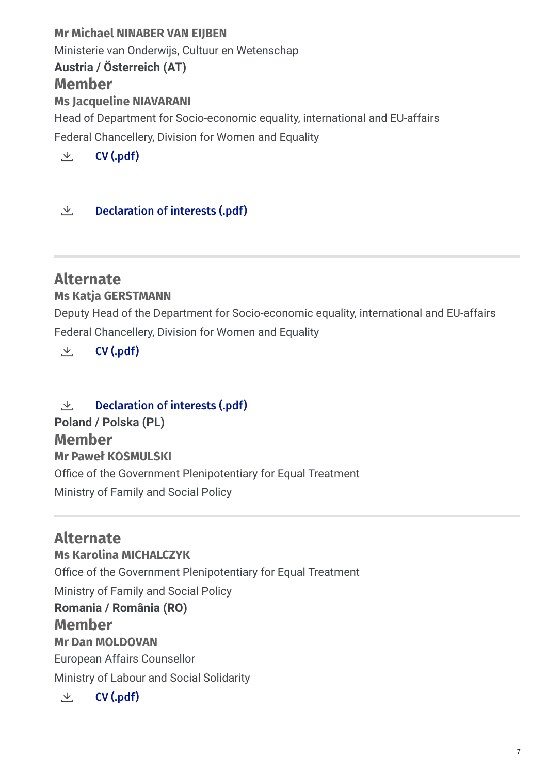# **Mr Michael NINABER VAN EIJBEN** Ministerie van Onderwijs, Cultuur en Wetenschap **Member Ms Jacqueline NIAVARANI** Head of Department for Socio-economic equality, international and EU-affairs **Austria / Österreich (AT)**

Federal Chancellery, Division for Women and Equality

 $\vee$  CV [\(.pdf\)](https://eige.europa.eu/sites/default/files/documents/doi.cv_mb_at_jacqueline_niavarani_2020.pdf)

#### $\perp$  [Declaration](https://eige.europa.eu/sites/default/files/documents/doi_mb_at_jacqueline_niavarani_2021.pdf) of interests (.pdf)

# **Alternate**

#### **Ms Katja GERSTMANN**

Deputy Head of the Department for Socio-economic equality, international and EU-affairs Federal Chancellery, Division for Women and Equality

 $\vee$  CV [\(.pdf\)](https://eige.europa.eu/sites/default/files/doi.cv_mb_at_katja_gerstmann_2020.pdf)

### $\perp$  [Declaration](https://eige.europa.eu/sites/default/files/documents/doi_mb_at_katja_gerstmann_2021.pdf) of interests (.pdf)

**Poland / Polska (PL)**

### **Member**

#### **Mr Paweł KOSMULSKI**

Office of the Government Plenipotentiary for Equal Treatment

Ministry of Family and Social Policy

# **Alternate**

**Ms Karolina MICHALCZYK**

Office of the Government Plenipotentiary for Equal Treatment

Ministry of Family and Social Policy

# **Romania / România (RO)**

### **Member**

#### **Mr Dan MOLDOVAN**

European Affairs Counsellor

Ministry of Labour and Social Solidarity

 $\vee$  CV [\(.pdf\)](https://eige.europa.eu/sites/default/files/coi.cv_mb_ro_dan.moldovan_2019.pdf)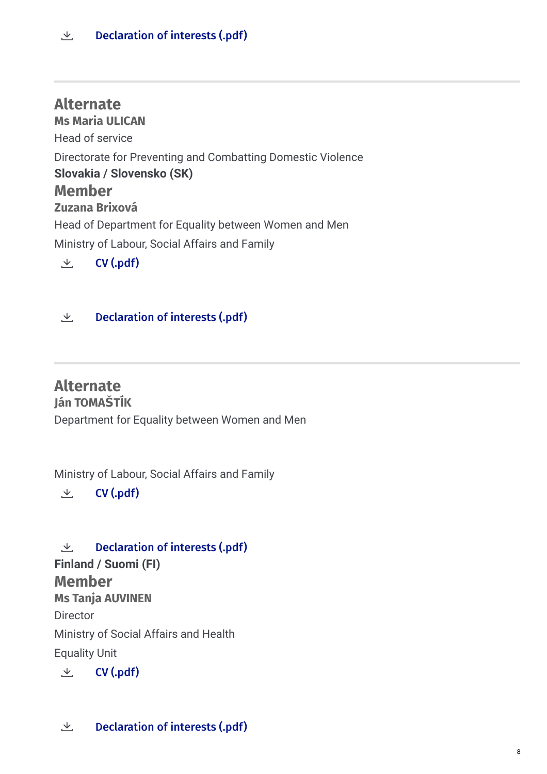**Alternate Ms Maria ULICAN** Head of service Directorate for Preventing and Combatting Domestic Violence **Member Zuzana Brixová** Head of Department for Equality between Women and Men Ministry of Labour, Social Affairs and Family **Slovakia / Slovensko (SK)**  $\vee$  CV [\(.pdf\)](https://eige.europa.eu/sites/default/files/documents/doi.cv_mb_sk_zuzana_brixova_2020.pdf)

#### $\perp$  [Declaration](https://eige.europa.eu/sites/default/files/documents/doi_mb_sk_zuzana_brixova_2021.pdf) of interests (.pdf)

# **Alternate**

### **Ján TOMAŠTÍK**

Department for Equality between Women and Men

Ministry of Labour, Social Affairs and Family

 $\vee$  CV [\(.pdf\)](https://eige.europa.eu/sites/default/files/documents/doi.cv_mb_sk_jan_tomastik_2021_0.pdf)

**Member Ms Tanja AUVINEN Director** Ministry of Social Affairs and Health Equality Unit  $\perp$  [Declaration](https://eige.europa.eu/sites/default/files/doi_mb_sk_jan_tomastik_2021.pdf) of interests (.pdf) **Finland / Suomi (FI)**

 $\vee$  CV [\(.pdf\)](https://eige.europa.eu/sites/default/files/documents/doi.cv_mb_fi_tanja_auvinen_2020.pdf)